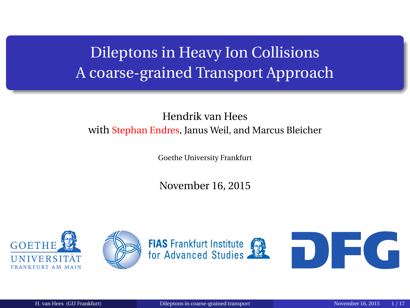## <span id="page-0-0"></span>Dileptons in Heavy Ion Collisions A coarse-grained Transport Approach

#### Hendrik van Hees with Stephan Endres, Janus Weil, and Marcus Bleicher

Goethe University Frankfurt

November 16, 2015

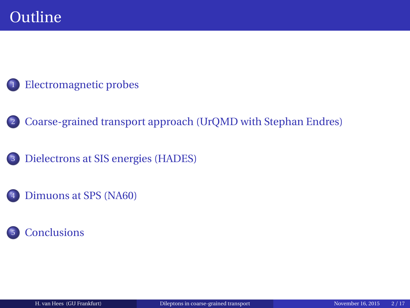#### <sup>1</sup> [Electromagnetic probes](#page-2-0)

- <sup>2</sup> [Coarse-grained transport approach \(UrQMD with Stephan Endres\)](#page-9-0)
- <sup>3</sup> [Dielectrons at SIS energies \(HADES\)](#page-11-0)
- [Dimuons at SPS \(NA60\)](#page-20-0)

#### **[Conclusions](#page-39-0)**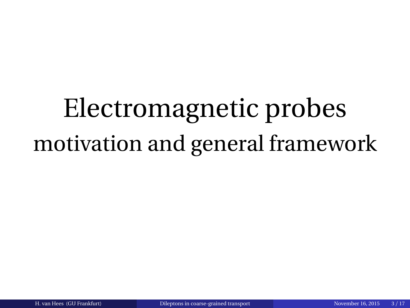# <span id="page-2-0"></span>Electromagnetic probes motivation and general framework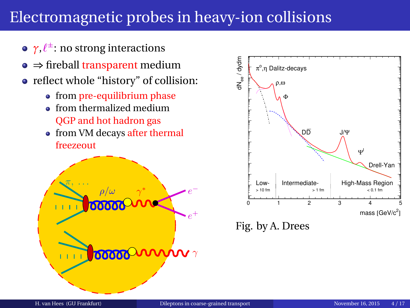### Electromagnetic probes in heavy-ion collisions

- **γ,** $\ell^{\pm}$ **:** no strong interactions
- $\bullet \Rightarrow$  fireball transparent medium
- reflect whole "history" of collision:
	- from pre-equilibrium phase
	- **•** from thermalized medium QGP and hot hadron gas
	- from VM decays after thermal freezeout





Fig. by A. Drees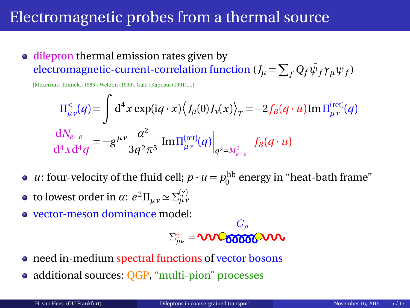#### Electromagnetic probes from a thermal source

• dilepton thermal emission rates given by  $\epsilon$  electromagnetic-current-correlation function ( $J_\mu = \sum_f Q_f \bar{\psi}_f \gamma_\mu \psi_f$ )

[McLerran+Toimela (1985), Weldon (1990), Gale+Kapusta (1991),...]

$$
\Pi_{\mu\nu}^{<}(q) = \int d^{4}x \exp(iq \cdot x) \langle J_{\mu}(0)J_{\nu}(x) \rangle_{T} = -2f_{B}(q \cdot u) \text{Im} \Pi_{\mu\nu}^{(\text{ret})}(q)
$$

$$
\frac{dN_{e+e-}}{d^{4}x d^{4}q} = -g^{\mu\nu} \frac{\alpha^{2}}{3q^{2} \pi^{3}} \text{Im} \Pi_{\mu\nu}^{(\text{ret})}(q) \Big|_{q^{2} = M_{e+e-}^{2}} f_{B}(q \cdot u)
$$

- *u*: four-velocity of the fluid cell;  $p \cdot u = p_0^{\text{hb}}$  energy in "heat-bath frame"
- **to lowest order in** *α***:**  $e^2 \Pi_{\mu\nu} \approx \Sigma_{\mu\nu}^{(\gamma)}$
- vector-meson dominance model:

$$
\Sigma_{\mu\nu}^{\gamma}=\text{VIVO66666}^{\text{G}_{\rho}}\text{VIV}
$$

- need in-medium spectral functions of vector bosons
- additional sources: OGP, "multi-pion" processes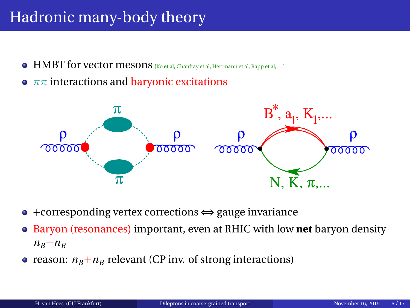## Hadronic many-body theory

- $\bullet$  HMBT for vector mesons [Ko et al, Chanfray et al, Herrmann et al, Rapp et al, ...]
- **•**  $ππ$  interactions and **baryonic excitations**



- +corresponding vertex corrections ⇔ gauge invariance
- Baryon (resonances) important, even at RHIC with low **net** baryon density  $n_B - n_{\bar{B}}$
- reason:  $n_B + n_{\bar{B}}$  relevant (CP inv. of strong interactions)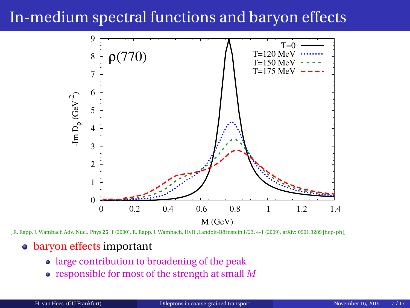#### In-medium spectral functions and baryon effects



[ R. Rapp, J. Wambach Adv. Nucl. Phys **25**, 1 (2000), R. Rapp, J. Wambach, HvH ,Landolt-Börnstein I/23, 4-1 (2009), arXiv: 0901.3289 [hep-ph]]

#### • baryon effects important

- large contribution to broadening of the peak
- responsible for most of the strength at small *M*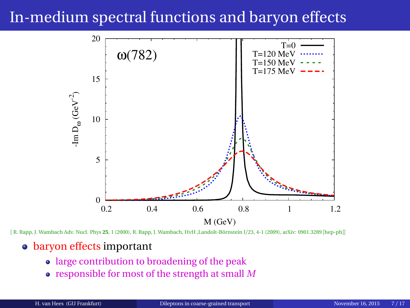#### In-medium spectral functions and baryon effects



[ R. Rapp, J. Wambach Adv. Nucl. Phys **25**, 1 (2000), R. Rapp, J. Wambach, HvH ,Landolt-Börnstein I/23, 4-1 (2009), arXiv: 0901.3289 [hep-ph]]

#### • baryon effects important

- large contribution to broadening of the peak
- responsible for most of the strength at small *M*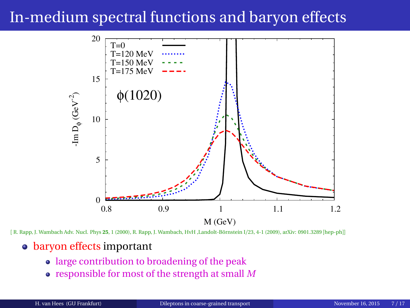### In-medium spectral functions and baryon effects



[ R. Rapp, J. Wambach Adv. Nucl. Phys **25**, 1 (2000), R. Rapp, J. Wambach, HvH ,Landolt-Börnstein I/23, 4-1 (2009), arXiv: 0901.3289 [hep-ph]]

#### • baryon effects important

- large contribution to broadening of the peak
- responsible for most of the strength at small *M*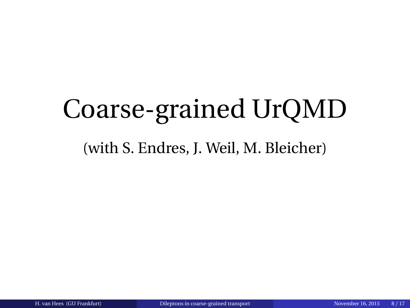# <span id="page-9-0"></span>Coarse-grained UrQMD

#### (with S. Endres, J. Weil, M. Bleicher)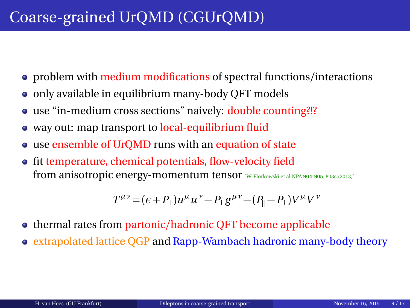## Coarse-grained UrQMD (CGUrQMD)

- problem with medium modifications of spectral functions/interactions
- only available in equilibrium many-body QFT models
- use "in-medium cross sections" naively: double counting?!?
- way out: map transport to local-equilibrium fluid
- use ensemble of UrQMD runs with an equation of state
- fit temperature, chemical potentials, flow-velocity field from anisotropic energy-momentum tensor [W. Florkowski et al NPA **904-905**, 803c (2013)]

$$
T^{\mu\nu} = (\epsilon + P_{\perp})u^{\mu}u^{\nu} - P_{\perp}g^{\mu\nu} - (P_{\parallel} - P_{\perp})V^{\mu}V^{\nu}
$$

- thermal rates from partonic/hadronic QFT become applicable
- extrapolated lattice QGP and Rapp-Wambach hadronic many-body theory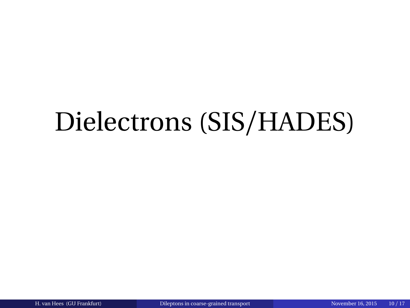## <span id="page-11-0"></span>Dielectrons (SIS/HADES)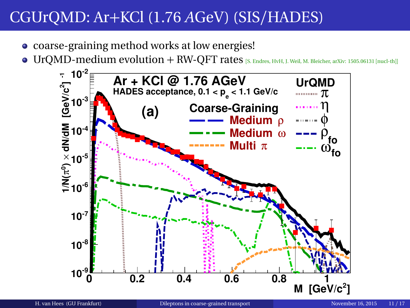- coarse-graining method works at low energies!
- $\bullet$  UrQMD-medium evolution + RW-QFT rates [S. Endres, HvH, J. Weil, M. Bleicher, arXiv: 1505.06131 [nucl-th]]

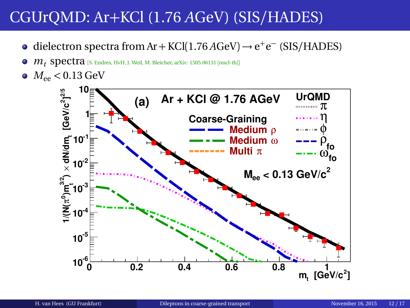- dielectron spectra from Ar + KCl(1.76  $A$ GeV)  $\rightarrow$  e<sup>+</sup>e<sup>-</sup> (SIS/HADES)
- $m_t$  **spectra** [S. Endres, HvH, J. Weil, M. Bleicher, arXiv: 1505.06131 [nucl-th]]  $\bullet$
- $M_{ee}$  < 0.13 GeV

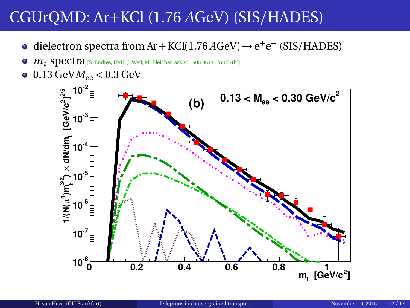- dielectron spectra from Ar + KCl(1.76 *A*GeV) → e<sup>+</sup>e<sup>-</sup> (SIS/HADES)
- $m_t$  Spectra [S. Endres, HvH, J. Weil, M. Bleicher, arXiv: 1505.06131 [nucl-th]]  $\bullet$
- $\bullet$  0.13 GeV $M_{ee}$  < 0.3 GeV

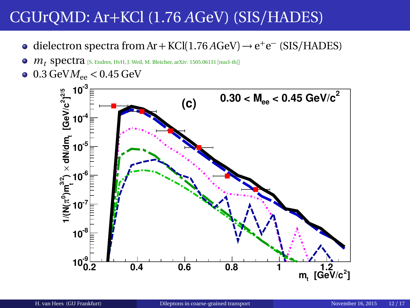- dielectron spectra from Ar + KCl(1.76  $A$ GeV)  $\rightarrow$  e<sup>+</sup>e<sup>-</sup> (SIS/HADES)
- $\bullet$  $m_t$  **spectra** [S. Endres, HvH, J. Weil, M. Bleicher, arXiv: 1505.06131 [nucl-th]]
- $\bullet$  0.3 GeV $M_{ee}$  < 0.45 GeV

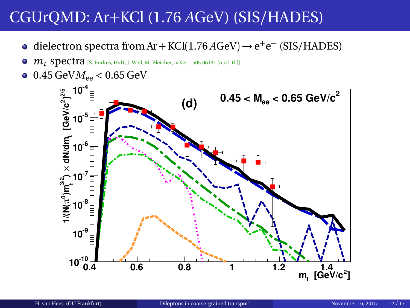- dielectron spectra from Ar + KCl(1.76 *A*GeV) → e<sup>+</sup>e<sup>-</sup> (SIS/HADES)
- $m_t$  Spectra [S. Endres, HvH, J. Weil, M. Bleicher, arXiv: 1505.06131 [nucl-th]]  $\bullet$
- $0.45 \text{ GeV}$  $M_{ee}$  < 0.65 GeV

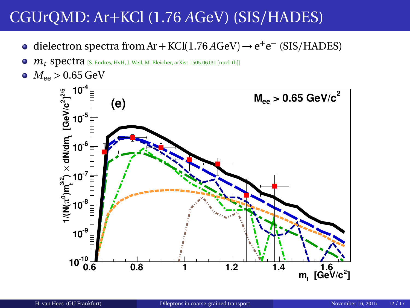- dielectron spectra from Ar + KCl(1.76 *A*GeV) → e<sup>+</sup>e<sup>-</sup> (SIS/HADES)
- $m_t$  **spectra** [S. Endres, HvH, J. Weil, M. Bleicher, arXiv: 1505.06131 [nucl-th]]  $\bullet$
- $M_{ee}$  > 0.65 GeV

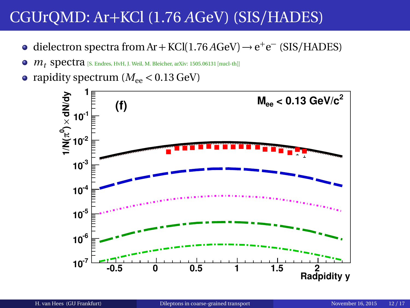- dielectron spectra from Ar + KCl(1.76 *A*GeV) → e<sup>+</sup>e<sup>-</sup> (SIS/HADES)
- $\bullet$   $m_t$  spectra [S. Endres, HvH, J. Weil, M. Bleicher, arXiv: 1505.06131 [nucl-th]]
- rapidity spectrum  $(M_{ee} < 0.13 \text{ GeV})$

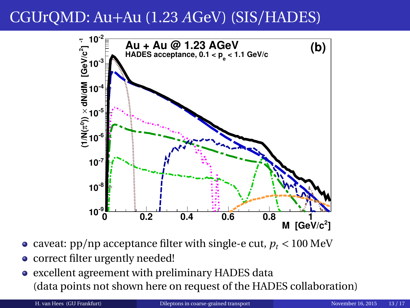### CGUrQMD: Au+Au (1.23 *A*GeV) (SIS/HADES)



- caveat:  $pp/np$  acceptance filter with single-e cut,  $p_t < 100$  MeV
- correct filter urgently needed!
- excellent agreement with preliminary HADES data (data points not shown here on request of the HADES collaboration)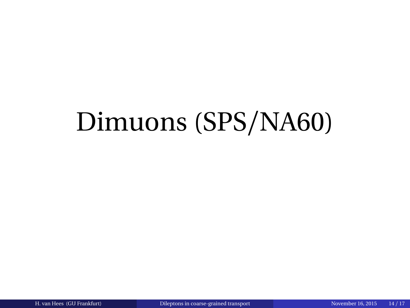## <span id="page-20-0"></span>Dimuons (SPS/NA60)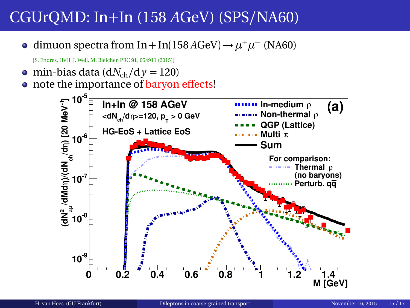dimuon spectra from In + In(158 *A*GeV) →  $\mu^+\mu^-$  (NA60)

[S. Endres, HvH, J. Weil, M. Bleicher, PRC **91**, 054911 (2015)]

 $\bullet$  min-bias data (d*N*<sub>ch</sub>/d *y* = 120)

• note the importance of baryon effects!

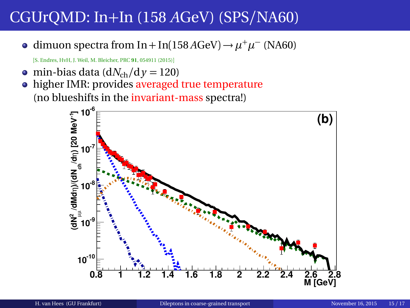dimuon spectra from In + In(158 *A*GeV) →  $\mu^+\mu^-$  (NA60)

[S. Endres, HvH, J. Weil, M. Bleicher, PRC **91**, 054911 (2015)]

 $\bullet$  min-bias data (d*N*<sub>ch</sub>/d *y* = 120)

• higher IMR: provides averaged true temperature (no blueshifts in the invariant-mass spectra!)

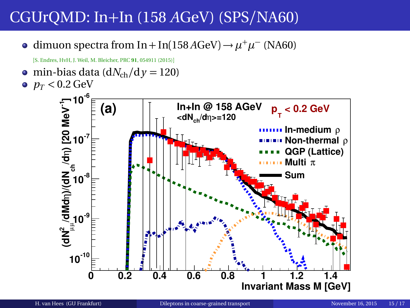dimuon spectra from In + In(158 *A*GeV) →  $\mu^+\mu^-$  (NA60)

[S. Endres, HvH, J. Weil, M. Bleicher, PRC **91**, 054911 (2015)]

• min-bias data  $\left(\frac{dN_{ch}}{dy}\right) = 120$  $p_T < 0.2$  GeV

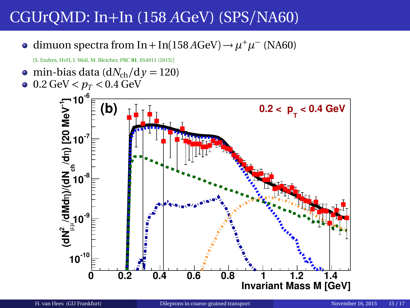dimuon spectra from In + In(158 *A*GeV) →  $\mu^+\mu^-$  (NA60)

[S. Endres, HvH, J. Weil, M. Bleicher, PRC **91**, 054911 (2015)]

• min-bias data  $\left(\frac{dN_{ch}}{dy}\right) = 120$  $0.2 \text{ GeV} < p_T < 0.4 \text{ GeV}$ 

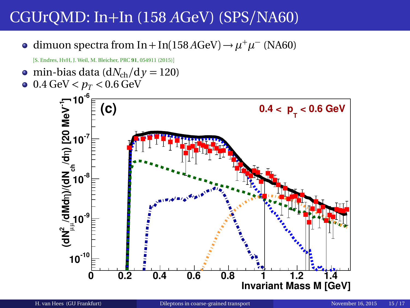dimuon spectra from In + In(158 *A*GeV) →  $\mu^+\mu^-$  (NA60)

[S. Endres, HvH, J. Weil, M. Bleicher, PRC **91**, 054911 (2015)]

• min-bias data ( $dN_{ch}/dy = 120$ )  $0.4 \text{ GeV} < p_T < 0.6 \text{ GeV}$ 

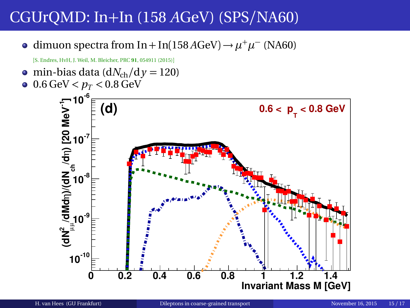dimuon spectra from In + In(158 *A*GeV) →  $\mu^+\mu^-$  (NA60)

[S. Endres, HvH, J. Weil, M. Bleicher, PRC **91**, 054911 (2015)]

• min-bias data ( $dN_{ch}/dy = 120$ )  $0.6 \,\text{GeV} < p_T < 0.8 \,\text{GeV}$ 

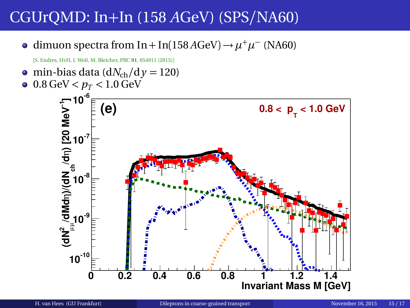dimuon spectra from In + In(158 *A*GeV) →  $\mu^+\mu^-$  (NA60)

[S. Endres, HvH, J. Weil, M. Bleicher, PRC **91**, 054911 (2015)]

• min-bias data ( $dN_{ch}/dy = 120$ )  $\bullet$  0.8 GeV  $< p_T < 1.0$  GeV

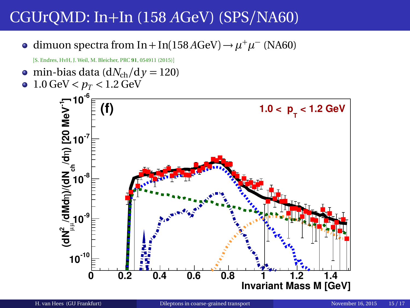dimuon spectra from In + In(158 *A*GeV) →  $\mu^+\mu^-$  (NA60)

[S. Endres, HvH, J. Weil, M. Bleicher, PRC **91**, 054911 (2015)]

• min-bias data ( $dN_{ch}/dy = 120$ )  $1.0 \text{ GeV} < p_T < 1.2 \text{ GeV}$  $\bullet$ 

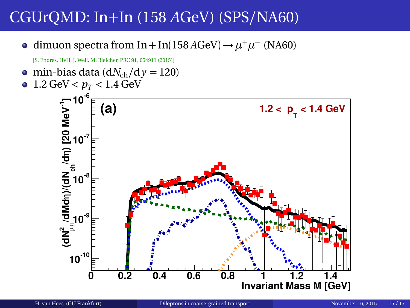dimuon spectra from In + In(158 *A*GeV) →  $\mu^+\mu^-$  (NA60)

[S. Endres, HvH, J. Weil, M. Bleicher, PRC **91**, 054911 (2015)]

• min-bias data ( $dN_{ch}/dy = 120$ )  $1.2 \text{ GeV} < p_T < 1.4 \text{ GeV}$  $\bullet$ 

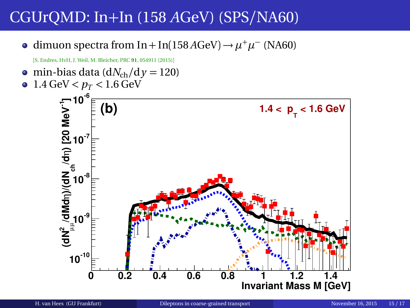dimuon spectra from In + In(158 *A*GeV) →  $\mu^+\mu^-$  (NA60)

[S. Endres, HvH, J. Weil, M. Bleicher, PRC **91**, 054911 (2015)]

• min-bias data ( $dN_{ch}/dy = 120$ )  $1.4 \text{ GeV} < p_T < 1.6 \text{ GeV}$  $\bullet$ 

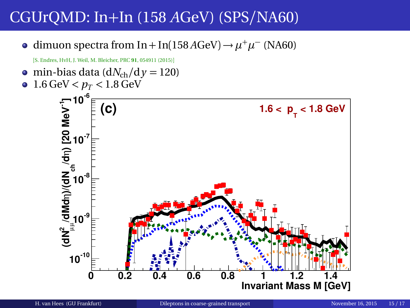dimuon spectra from In + In(158 *A*GeV) →  $\mu^+\mu^-$  (NA60)

[S. Endres, HvH, J. Weil, M. Bleicher, PRC **91**, 054911 (2015)]

• min-bias data ( $dN_{ch}/dy = 120$ )  $1.6 \text{ GeV} < p_T < 1.8 \text{ GeV}$  $\bullet$  **-6 10 /dN<sup>2</sup>/dMdn**)/(**dN** <sub>ch</sub> (d 1)<br>|d<br>|d<br>|d<br>|d **(C)**  $1.6 < p_{\text{T}} < 1.8 \text{ GeV}$  $10^{-7}$  $10^{3}$ **-9 10**



 $10^{-10}$ 

**0 0.2 0.4 0.6 0.8 1 1.2 1.4**

**Invariant Mass M [GeV]**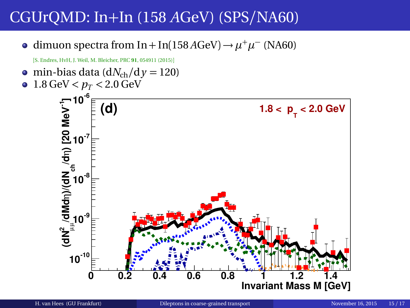dimuon spectra from In + In(158 *A*GeV) →  $\mu^+\mu^-$  (NA60)

[S. Endres, HvH, J. Weil, M. Bleicher, PRC **91**, 054911 (2015)]

• min-bias data ( $dN_{ch}/dy = 120$ )  $1.8 \text{ GeV} < p_T < 2.0 \text{ GeV}$  $\bullet$ 

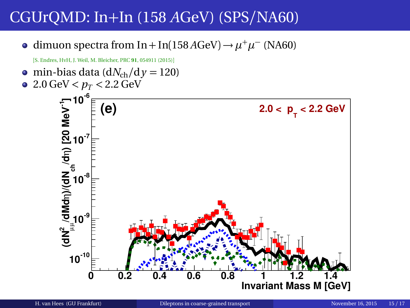dimuon spectra from In + In(158 *A*GeV) →  $\mu^+\mu^-$  (NA60)

[S. Endres, HvH, J. Weil, M. Bleicher, PRC **91**, 054911 (2015)]

• min-bias data ( $dN_{ch}/dy = 120$ )  $\bullet$  2.0 GeV  $< p_T < 2.2$  GeV **/dN<sup>2</sup>/dMdn**)/(**dN** <sub>ch</sub> (d 1)<br>|d<br>|d<br>|d<br>|d **-6 10**  $10^{3}$  $10^{-7}$ **(e)**  $2.0 < p_{\text{T}} < 2.2 \text{ GeV}$ 

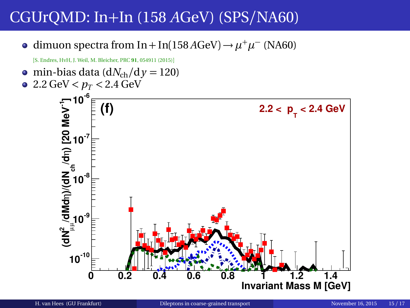dimuon spectra from In + In(158 *A*GeV) →  $\mu^+\mu^-$  (NA60)

[S. Endres, HvH, J. Weil, M. Bleicher, PRC **91**, 054911 (2015)]

• min-bias data ( $dN_{ch}/dy = 120$ )  $\bullet$  2.2 GeV  $< p_T < 2.4$  GeV **-6 10**  $10^{-7}$ **(f)**  $2.2 < p_{\text{T}} < 2.4 \text{ GeV}$ 

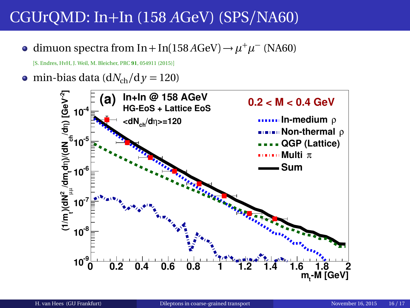dimuon spectra from In + In(158 *A*GeV) →  $\mu^+ \mu^-$  (NA60)

[S. Endres, HvH, J. Weil, M. Bleicher, PRC **91**, 054911 (2015)]

 $\bullet$  min-bias data (d*N*<sub>ch</sub>/d *y* = 120)

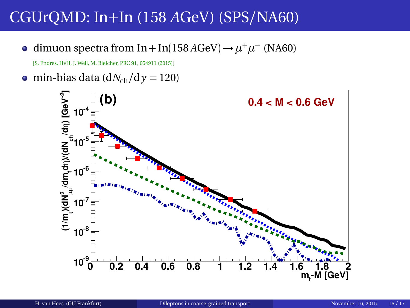dimuon spectra from In + In(158 *A*GeV) →  $\mu^+ \mu^-$  (NA60)

[S. Endres, HvH, J. Weil, M. Bleicher, PRC **91**, 054911 (2015)]

• min-bias data ( $dN_{ch}/dy = 120$ )

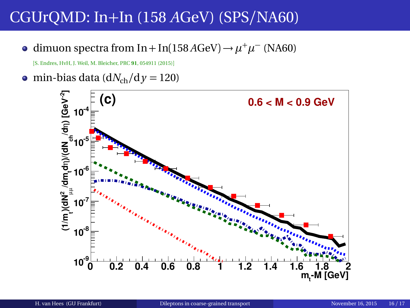dimuon spectra from In + In(158 *A*GeV) →  $\mu^+ \mu^-$  (NA60)

[S. Endres, HvH, J. Weil, M. Bleicher, PRC **91**, 054911 (2015)]

• min-bias data ( $dN_{ch}/dy = 120$ )

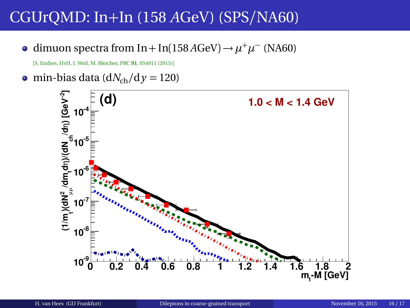dimuon spectra from In + In(158 *A*GeV) →  $\mu^+ \mu^-$  (NA60)

[S. Endres, HvH, J. Weil, M. Bleicher, PRC **91**, 054911 (2015)]

• min-bias data ( $dN_{ch}/dy = 120$ )